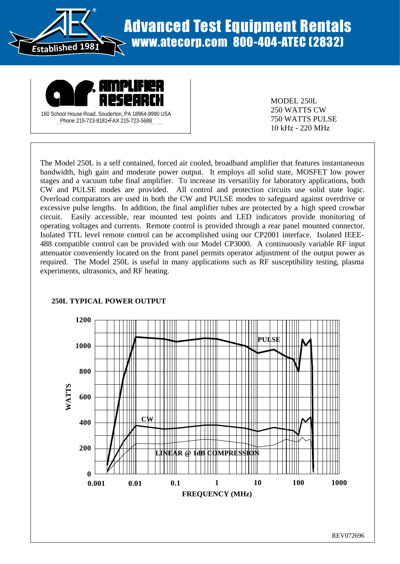

## Advanced Test Equipment Rentals www.atecorp.com 800-404-ATEC (2832)



MODEL 250L 250 WATTS CW 750 WATTS PULSE 10 kHz - 220 MHz

The Model 250L is a self contained, forced air cooled, broadband amplifier that features instantaneous bandwidth, high gain and moderate power output. It employs all solid state, MOSFET low power stages and a vacuum tube final amplifier. To increase its versatility for laboratory applications, both CW and PULSE modes are provided. All control and protection circuits use solid state logic. Overload comparators are used in both the CW and PULSE modes to safeguard against overdrive or excessive pulse lengths. In addition, the final amplifier tubes are protected by a high speed crowbar circuit. Easily accessible, rear mounted test points and LED indicators provide monitoring of operating voltages and currents. Remote control is provided through a rear panel mounted connector. Isolated TTL level remote control can be accomplished using our CP2001 interface. Isolated IEEE-488 compatible control can be provided with our Model CP3000. A continuously variable RF input attenuator conveniently located on the front panel permits operator adjustment of the output power as required. The Model 250L is useful in many applications such as RF susceptibility testing, plasma experiments, ultrasonics, and RF heating.



## **250L TYPICAL POWER OUTPUT**